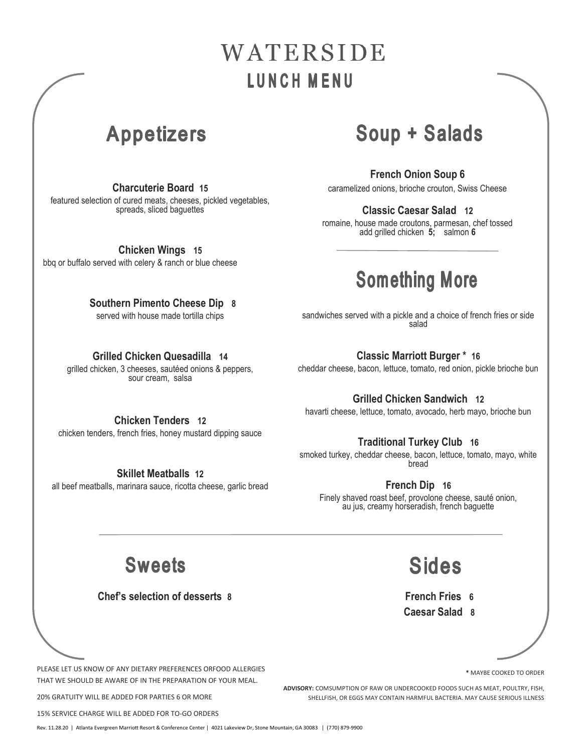# WATERSIDE LUNCH MENU

### **Appetizers**

**Charcuterie Board 15** featured selection of cured meats, cheeses, pickled vegetables, spreads, sliced baguettes

**Chicken Wings 15** bbq or buffalo served with celery & ranch or blue cheese

> **Southern Pimento Cheese Dip 8** served with house made tortilla chips

#### **Grilled Chicken Quesadilla 14**

grilled chicken, 3 cheeses, sautéed onions & peppers, sour cream, salsa

## Soup + Salads

**French Onion Soup 6** 

caramelized onions, brioche crouton, Swiss Cheese

#### **Classic Caesar Salad 12**

romaine, house made croutons, parmesan, chef tossed add grilled chicken **5;** salmon **6**

## **Something More**

sandwiches served with a pickle and a choice of french fries or side salad

#### **Classic Marriott Burger \* 16**

cheddar cheese, bacon, lettuce, tomato, red onion, pickle brioche bun

#### **Grilled Chicken Sandwich 12**

havarti cheese, lettuce, tomato, avocado, herb mayo, brioche bun

### **Chicken Tenders 12**

chicken tenders, french fries, honey mustard dipping sauce

**Skillet Meatballs 12** all beef meatballs, marinara sauce, ricotta cheese, garlic bread

#### **Traditional Turkey Club 16**

smoked turkey, cheddar cheese, bacon, lettuce, tomato, mayo, white bread

#### **French Dip 16**

Finely shaved roast beef, provolone cheese, sauté onion, au jus, creamy horseradish, french baguette

### **Sweets**

 **Chef's selection of desserts 8**

**Sides** 

**French Fries 6 Caesar Salad 8**

PLEASE LET US KNOW OF ANY DIETARY PREFERENCES ORFOOD ALLERGIES THAT WE SHOULD BE AWARE OF IN THE PREPARATION OF YOUR MEAL.

20% GRATUITY WILL BE ADDED FOR PARTIES 6 OR MORE

15% SERVICE CHARGE WILL BE ADDED FOR TO-GO ORDERS

Rev. 11.28.20 | Atlanta Evergreen Marriott Resort & Conference Center | 4021 Lakeview Dr, Stone Mountain, GA 30083 | (770) 879-9900

**\*** MAYBE COOKED TO ORDER

**ADVISORY:** COMSUMPTION OF RAW OR UNDERCOOKED FOODS SUCH AS MEAT, POULTRY, FISH, SHELLFISH, OR EGGS MAY CONTAIN HARMFUL BACTERIA. MAY CAUSE SERIOUS ILLNESS